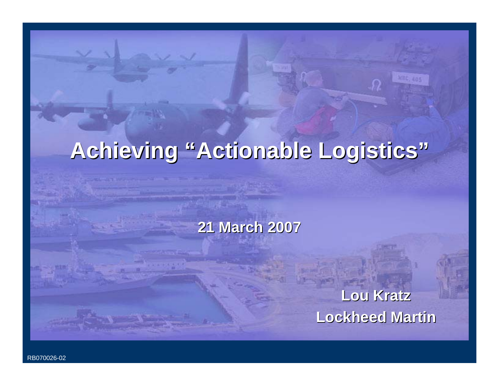# **Achieving "Actionable Logistics" Achieving "Actionable Logistics"**

#### **21 March 2007 21 March 2007**

**Lou Kratz Lou Kratz Lockheed Martin Lockheed Martin**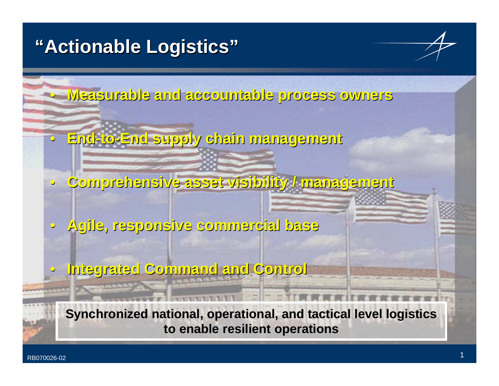# **"Actionable Logistics" Actionable Logistics"**

• **Measurable and accountable process owners Measurable and accountable process owners**

- $\bullet$ **End-to-End supply chain management End supply chain management**
- $\mathbb C$ **Comprehensive asset visibility / management Comprehensive asset visibility / management**
- $\mathbf C$  **Agile, responsive commercial base Agile, responsive commercial base**
	- **Integrated Command and Control Integrated Command and Control**

**Synchronized national, operational, and tactical level logistics to enable resilient operations to enable resilient operations**

 $\mathbf C$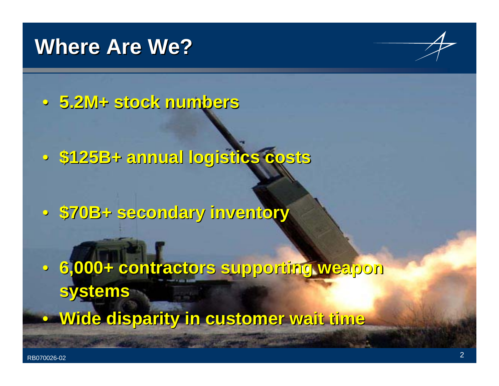# **Where Are We?**



• **5.2M+ stock numbers 5.2M+ stock numbers**

• **\$125B+ annual logistics costs \$125B+ annual logistics costs**

• **\$70B+ secondary inventory \$70B+ secondary inventory**

• **6,000+ contractors supporting weapon 6,000+ contractors supporting weapon systems systems**

• **Wide disparity in customer wait time Wide disparity in customer wait time**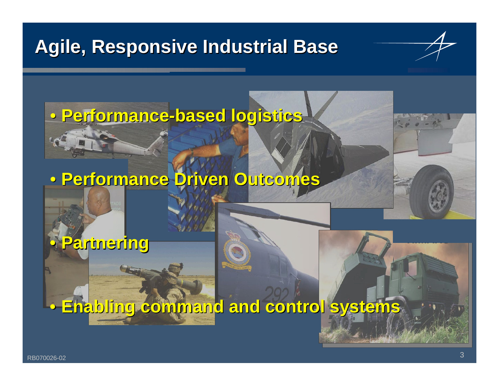# **Agile, Responsive Industrial Base Agile, Responsive Industrial Base**

**F-117**

# **IPV** • **Performance Performance-based logistics based logistics**

# **TADS/PNVS SRA - Letterkenny** • **Performance Driven Outcomes Performance Driven Outcomes**

# • **Partnering Partnering**

#### **UK-C130 Enabling command and control systems Enabling command and control systems** $\bigcirc$

**HIMARS**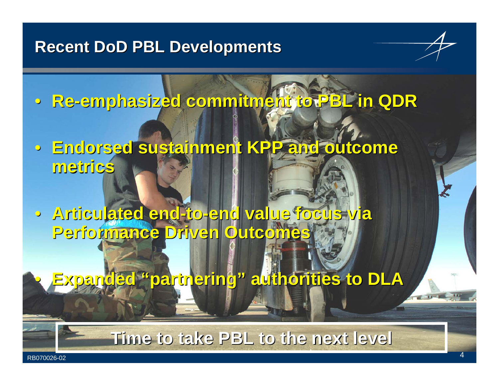#### **Recent DoD PBL Developments**

- **Re-emphasized commitment to PBL in QDR emphasized commitment to PBL in QDR**
- **Endorsed sustainment KPP and outcome Endorsed sustainment KPP and outcome metrics metrics**
- **Articulated end Articulated end-to-end value focus via end value focus via Performance Driven Outcomes Performance Driven Outcomes**
	- **Expanded "partnering" authorities to DLA Expanded "partnering" authorities to DLA**

#### **Time to take PBL to the next level Time to take PBL to the next level**

 $\bigcirc$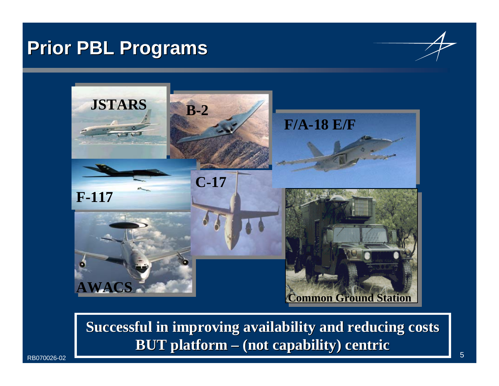### **Prior PBL Programs Prior PBL Programs**



**Successful in improving availability and reducing costs BUT platform BUT platform – (not capability) centric (not capability) centric**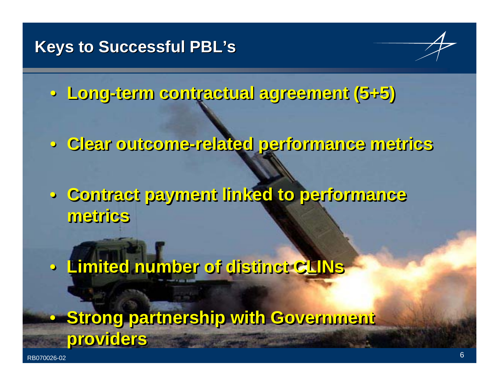

• **Long-term contractual agreement (5+5)** • **Long-term contractual agreement (5+5) term contractual agreement (5+5)**

• **Clear outcome-related performance metrics** • **Clear outcome Clear outcome-related performance metrics related performance metrics**

• **Contract payment linked to performance**  • **Contract payment linked to performance Contract payment linked to performance metricsmetrics metrics**

• **Limited number of distinct CLINs** • **Limited number of distinct Limited number of distinct CLINs**

• **Strong partnership with Government**  • **Strong partnership with Government Strong partnership with Government providers providers providers**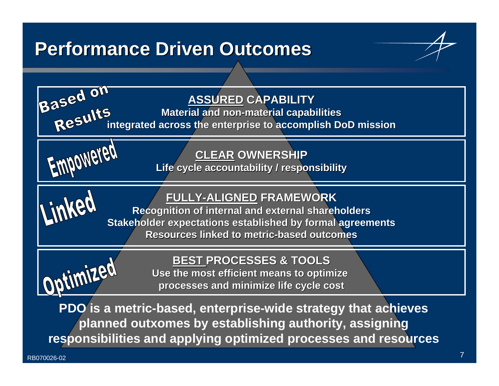# **Performance Driven Outcomes Performance Driven Outcomes**





**planned outxomes by establishing authority, assigning responsibilities and applying optimized processes and resources**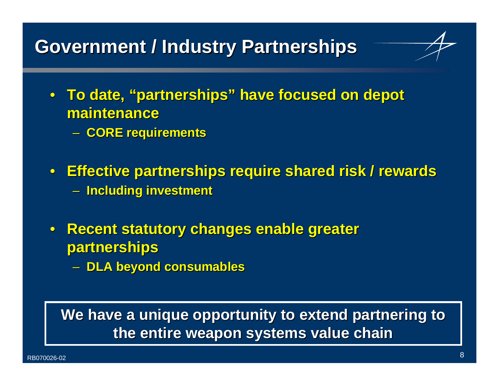# **Government / Industry Partnerships Government / Industry Partnerships**

- To date, "partnerships" have focused on depot **maintenance maintenance**
	- **CORE requirements CORE requirements**
- **Effective partnerships require shared risk / rewards Effective partnerships require shared risk / rewards Including investment Including investment**
- **Recent statutory changes enable greater Recent statutory changes enable greater partnerships partnerships**
	- **DLA beyond consumables DLA beyond consumables**

#### **We have a unique opportunity to extend partnering to the entire weapon systems value chain the entire weapon systems value chain**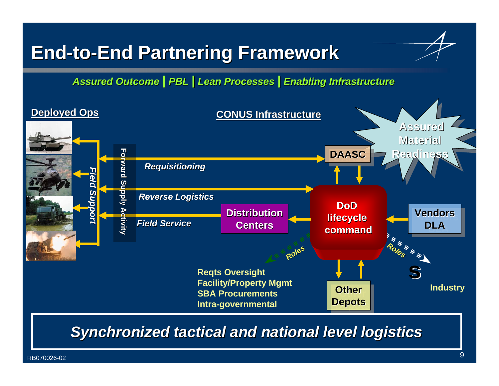# **End-to-End Partnering Framework End Partnering Framework**

*Assured Outcome | PBL | Lean Processes | Enabling Infrastructure* 



**Synchronized tactical and national level logistics**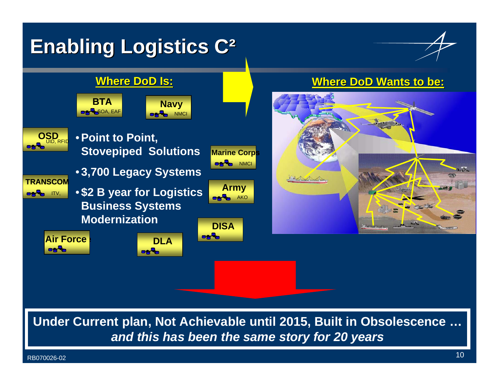# **Enabling Logistics C<sup>2</sup>**





**Under Current plan, Not Achievable until 2015, Built in Obsolescence …** *and this has been the same story for 20 years*

RB070026-02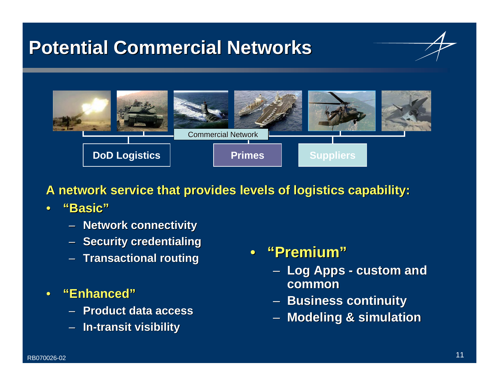# **Potential Commercial Networks Potential Commercial Networks**





**A network service that provides levels of logistics capability:** 

- • **"Basic" "Basic"**
	- **Network connectivity Network connectivity**
	- **Security credentialing Security credentialing**
	- **Transactional routing Transactional routing**
- • **"Enhanced" "Enhanced"**
	- **Product data access Product data access**
	- –**In-transit visibility transit visibility**
- • **"Premium" Premium"**
	- – $-$  Log Apps -  $\bm{{\sf c}$ ustom and **common**
	- –**Business continuity Business continuity**
	- –**Modeling & simulation Modeling & simulation**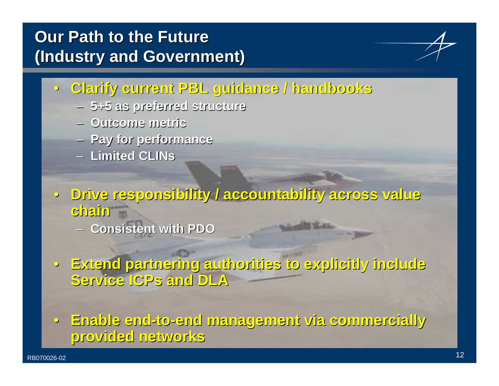### **Our Path to the Future Our Path to the Future(Industry and Government) (Industry and Government)**

- **Clarify current PBL guidance / handbooks Clarify current PBL guidance / handbooks**
	- **5+5 as preferred structure 5+5 as preferred structure**
	- **Outcome metric Outcome metric**
	- **Pay for performance Pay for performance**
	- **Limited Limited CLINs**
- **Drive responsibility / accountability across value Drive responsibility / accountability across value chain**
	- **Consistent with PDO Consistent with PDO**
- **Extend partnering authorities to explicitly include Extend partnering authorities to explicitly include Service Service ICPs and DLA and DLA**

• **Enable end Enable end-to-end management via commercially end management via commercially provided networks provided networks**